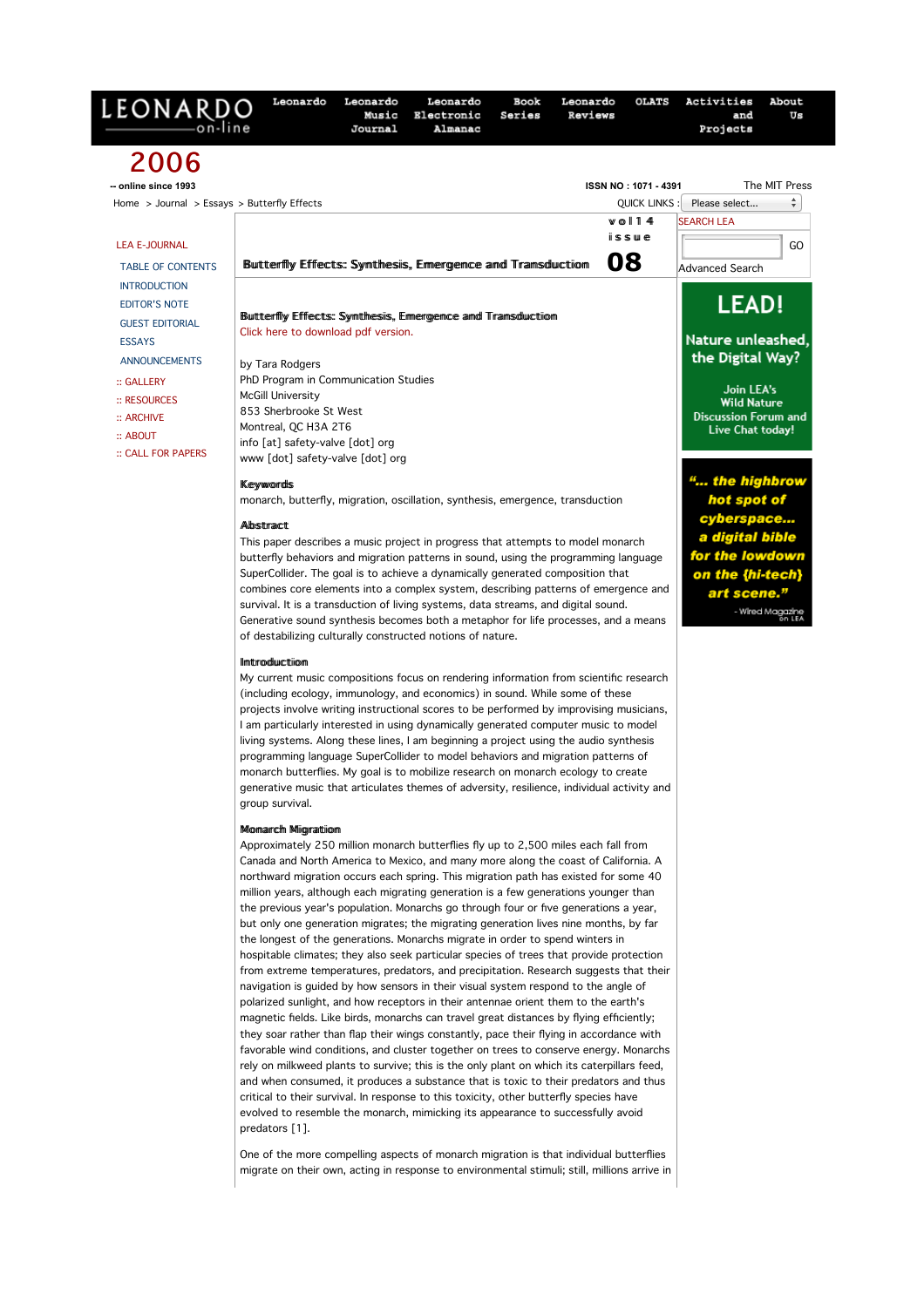| LEONARDO                                                                                                                                                                                     | <b>OLATS</b><br>Leonardo<br>Leonardo<br>Leonardo<br>Book<br>Leonardo<br>Music<br>Electronic<br>Series<br>Reviews<br>Journal<br>Almanac                                                                                                                                                                                                                                                                                                                                                                                                                                                                                                                                                                                                                                                                                                                                                                                                                                                                                                                                                                                                                                                                                                                                                                                                                                                                                                                                                                                                                                                                                                                                                                                                                                              | Activities<br>About<br>Us<br>and<br>Projects                                                                                                                                                                                                                                                            |
|----------------------------------------------------------------------------------------------------------------------------------------------------------------------------------------------|-------------------------------------------------------------------------------------------------------------------------------------------------------------------------------------------------------------------------------------------------------------------------------------------------------------------------------------------------------------------------------------------------------------------------------------------------------------------------------------------------------------------------------------------------------------------------------------------------------------------------------------------------------------------------------------------------------------------------------------------------------------------------------------------------------------------------------------------------------------------------------------------------------------------------------------------------------------------------------------------------------------------------------------------------------------------------------------------------------------------------------------------------------------------------------------------------------------------------------------------------------------------------------------------------------------------------------------------------------------------------------------------------------------------------------------------------------------------------------------------------------------------------------------------------------------------------------------------------------------------------------------------------------------------------------------------------------------------------------------------------------------------------------------|---------------------------------------------------------------------------------------------------------------------------------------------------------------------------------------------------------------------------------------------------------------------------------------------------------|
| 2006<br>-- online since 1993<br>Home > Journal > Essays > Butterfly Effects                                                                                                                  | ISSN NO: 1071 - 4391<br><b>QUICK LINKS</b><br>$w$ ol 14                                                                                                                                                                                                                                                                                                                                                                                                                                                                                                                                                                                                                                                                                                                                                                                                                                                                                                                                                                                                                                                                                                                                                                                                                                                                                                                                                                                                                                                                                                                                                                                                                                                                                                                             | The MIT Press<br>÷<br>Please select<br><b>SEARCH LEA</b>                                                                                                                                                                                                                                                |
| <b>LEA E-JOURNAL</b><br><b>TABLE OF CONTENTS</b>                                                                                                                                             | issue<br>08<br>Butterfly Effects: Synthesis, Emergence and Transduction                                                                                                                                                                                                                                                                                                                                                                                                                                                                                                                                                                                                                                                                                                                                                                                                                                                                                                                                                                                                                                                                                                                                                                                                                                                                                                                                                                                                                                                                                                                                                                                                                                                                                                             | GO<br><b>Advanced Search</b>                                                                                                                                                                                                                                                                            |
| <b>INTRODUCTION</b><br><b>EDITOR'S NOTE</b><br><b>GUEST EDITORIAL</b><br><b>ESSAYS</b><br><b>ANNOUNCEMENTS</b><br>:: GALLERY<br>:: RESOURCES<br>:: ARCHIVE<br>:: ABOUT<br>:: CALL FOR PAPERS | Buttterflly Effects: Symthesis, Ermergence and Transduction<br>Click here to download pdf version.<br>by Tara Rodgers<br>PhD Program in Communication Studies<br><b>McGill University</b><br>853 Sherbrooke St West<br>Montreal, QC H3A 2T6<br>info [at] safety-valve [dot] org<br>www [dot] safety-valve [dot] org<br><b>Keywords</b><br>monarch, butterfly, migration, oscillation, synthesis, emergence, transduction<br>Albstract<br>This paper describes a music project in progress that attempts to model monarch<br>butterfly behaviors and migration patterns in sound, using the programming language<br>SuperCollider. The goal is to achieve a dynamically generated composition that<br>combines core elements into a complex system, describing patterns of emergence and<br>survival. It is a transduction of living systems, data streams, and digital sound.<br>Generative sound synthesis becomes both a metaphor for life processes, and a means<br>of destabilizing culturally constructed notions of nature.<br><b>Ilmtroduction</b><br>My current music compositions focus on rendering information from scientific research<br>(including ecology, immunology, and economics) in sound. While some of these<br>projects involve writing instructional scores to be performed by improvising musicians,<br>I am particularly interested in using dynamically generated computer music to model<br>living systems. Along these lines, I am beginning a project using the audio synthesis<br>programming language SuperCollider to model behaviors and migration patterns of<br>monarch butterflies. My goal is to mobilize research on monarch ecology to create<br>generative music that articulates themes of adversity, resilience, individual activity and | <b>LEAD!</b><br>Nature unleashed,<br>the Digital Way?<br>Join LEA's<br><b>Wild Nature</b><br><b>Discussion Forum and</b><br>Live Chat today!<br>" the highbrow<br>hot spot of<br>cyberspace<br>a digital bible<br>for the lowdown<br>on the {hi-tech}<br>art scene."<br>- Wired Magazine<br>All Don LEA |

group survival.

# Momarch Miigration

Approximately 250 million monarch butterflies fly up to 2,500 miles each fall from Canada and North America to Mexico, and many more along the coast of California. A northward migration occurs each spring. This migration path has existed for some 40 million years, although each migrating generation is a few generations younger than the previous year's population. Monarchs go through four or five generations a year, but only one generation migrates; the migrating generation lives nine months, by far the longest of the generations. Monarchs migrate in order to spend winters in hospitable climates; they also seek particular species of trees that provide protection from extreme temperatures, predators, and precipitation. Research suggests that their navigation is guided by how sensors in their visual system respond to the angle of polarized sunlight, and how receptors in their antennae orient them to the earth's magnetic fields. Like birds, monarchs can travel great distances by flying efficiently; they soar rather than flap their wings constantly, pace their flying in accordance with favorable wind conditions, and cluster together on trees to conserve energy. Monarchs rely on milkweed plants to survive; this is the only plant on which its caterpillars feed, and when consumed, it produces a substance that is toxic to their predators and thus critical to their survival. In response to this toxicity, other butterfly species have evolved to resemble the monarch, mimicking its appearance to successfully avoid predators [1].

One of the more compelling aspects of monarch migration is that individual butterflies migrate on their own, acting in response to environmental stimuli; still, millions arrive in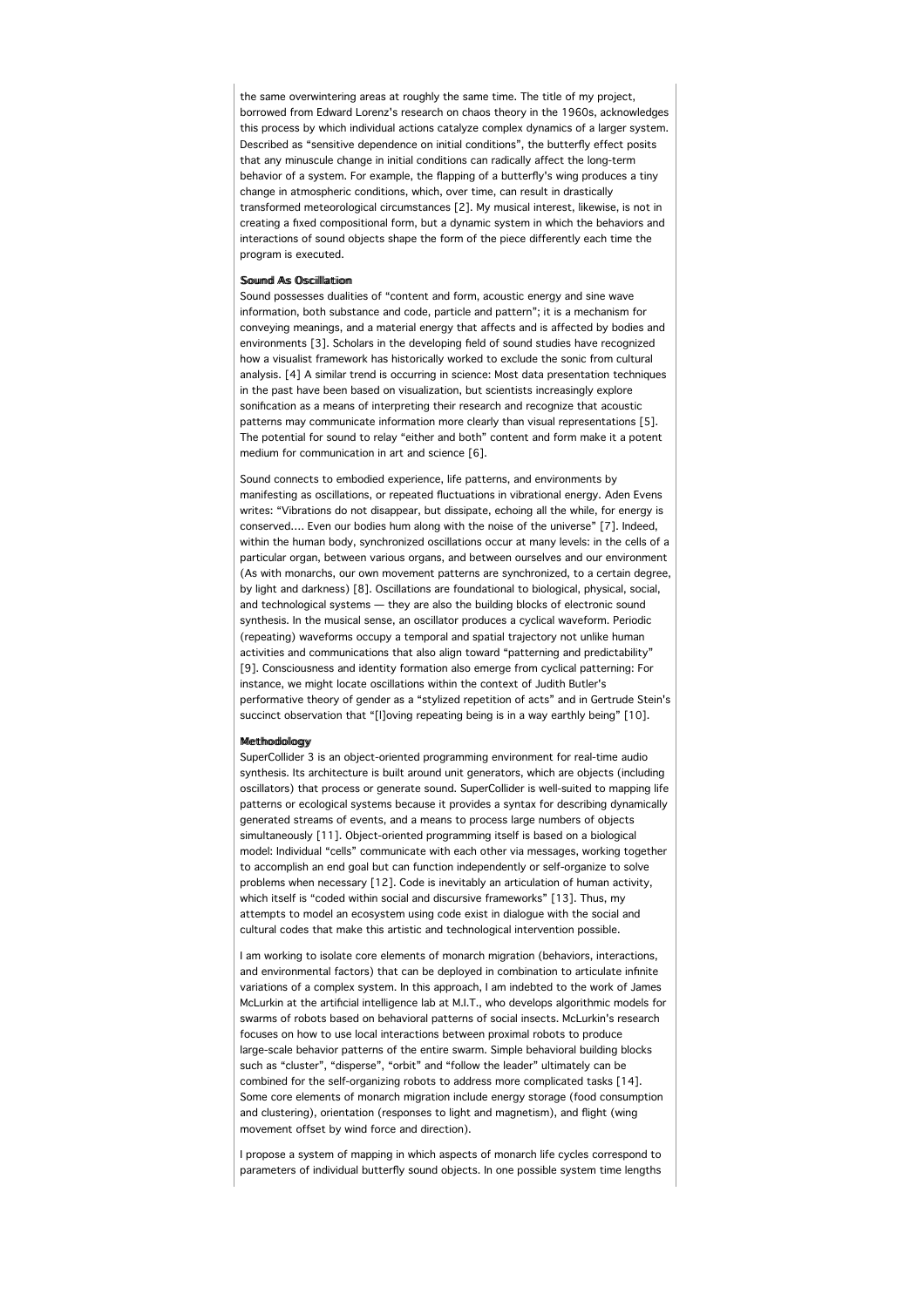the same overwintering areas at roughly the same time. The title of my project, borrowed from Edward Lorenz's research on chaos theory in the 1960s, acknowledges this process by which individual actions catalyze complex dynamics of a larger system. Described as "sensitive dependence on initial conditions", the butterfly effect posits that any minuscule change in initial conditions can radically affect the long-term behavior of a system. For example, the flapping of a butterfly's wing produces a tiny change in atmospheric conditions, which, over time, can result in drastically transformed meteorological circumstances [2]. My musical interest, likewise, is not in creating a fixed compositional form, but a dynamic system in which the behaviors and interactions of sound objects shape the form of the piece differently each time the program is executed.

# Souumd As Osciilllattiiom

Sound possesses dualities of "content and form, acoustic energy and sine wave information, both substance and code, particle and pattern"; it is a mechanism for conveying meanings, and a material energy that affects and is affected by bodies and environments [3]. Scholars in the developing field of sound studies have recognized how a visualist framework has historically worked to exclude the sonic from cultural analysis. [4] A similar trend is occurring in science: Most data presentation techniques in the past have been based on visualization, but scientists increasingly explore sonification as a means of interpreting their research and recognize that acoustic patterns may communicate information more clearly than visual representations [5]. The potential for sound to relay "either and both" content and form make it a potent medium for communication in art and science [6].

Sound connects to embodied experience, life patterns, and environments by manifesting as oscillations, or repeated fluctuations in vibrational energy. Aden Evens writes: "Vibrations do not disappear, but dissipate, echoing all the while, for energy is conserved…. Even our bodies hum along with the noise of the universe" [7]. Indeed, within the human body, synchronized oscillations occur at many levels: in the cells of a particular organ, between various organs, and between ourselves and our environment (As with monarchs, our own movement patterns are synchronized, to a certain degree, by light and darkness) [8]. Oscillations are foundational to biological, physical, social, and technological systems — they are also the building blocks of electronic sound synthesis. In the musical sense, an oscillator produces a cyclical waveform. Periodic (repeating) waveforms occupy a temporal and spatial trajectory not unlike human activities and communications that also align toward "patterning and predictability" [9]. Consciousness and identity formation also emerge from cyclical patterning: For instance, we might locate oscillations within the context of Judith Butler's performative theory of gender as a "stylized repetition of acts" and in Gertrude Stein's succinct observation that "[I]oving repeating being is in a way earthly being" [10].

# Meetthoodiolloogy

SuperCollider 3 is an object-oriented programming environment for real-time audio synthesis. Its architecture is built around unit generators, which are objects (including oscillators) that process or generate sound. SuperCollider is well-suited to mapping life patterns or ecological systems because it provides a syntax for describing dynamically generated streams of events, and a means to process large numbers of objects simultaneously [11]. Object-oriented programming itself is based on a biological model: Individual "cells" communicate with each other via messages, working together to accomplish an end goal but can function independently or self-organize to solve problems when necessary [12]. Code is inevitably an articulation of human activity, which itself is "coded within social and discursive frameworks" [13]. Thus, my attempts to model an ecosystem using code exist in dialogue with the social and cultural codes that make this artistic and technological intervention possible.

I am working to isolate core elements of monarch migration (behaviors, interactions, and environmental factors) that can be deployed in combination to articulate infinite variations of a complex system. In this approach, I am indebted to the work of James McLurkin at the artificial intelligence lab at M.I.T., who develops algorithmic models for swarms of robots based on behavioral patterns of social insects. McLurkin's research focuses on how to use local interactions between proximal robots to produce large-scale behavior patterns of the entire swarm. Simple behavioral building blocks such as "cluster", "disperse", "orbit" and "follow the leader" ultimately can be combined for the self-organizing robots to address more complicated tasks [14]. Some core elements of monarch migration include energy storage (food consumption and clustering), orientation (responses to light and magnetism), and flight (wing movement offset by wind force and direction).

I propose a system of mapping in which aspects of monarch life cycles correspond to parameters of individual butterfly sound objects. In one possible system time lengths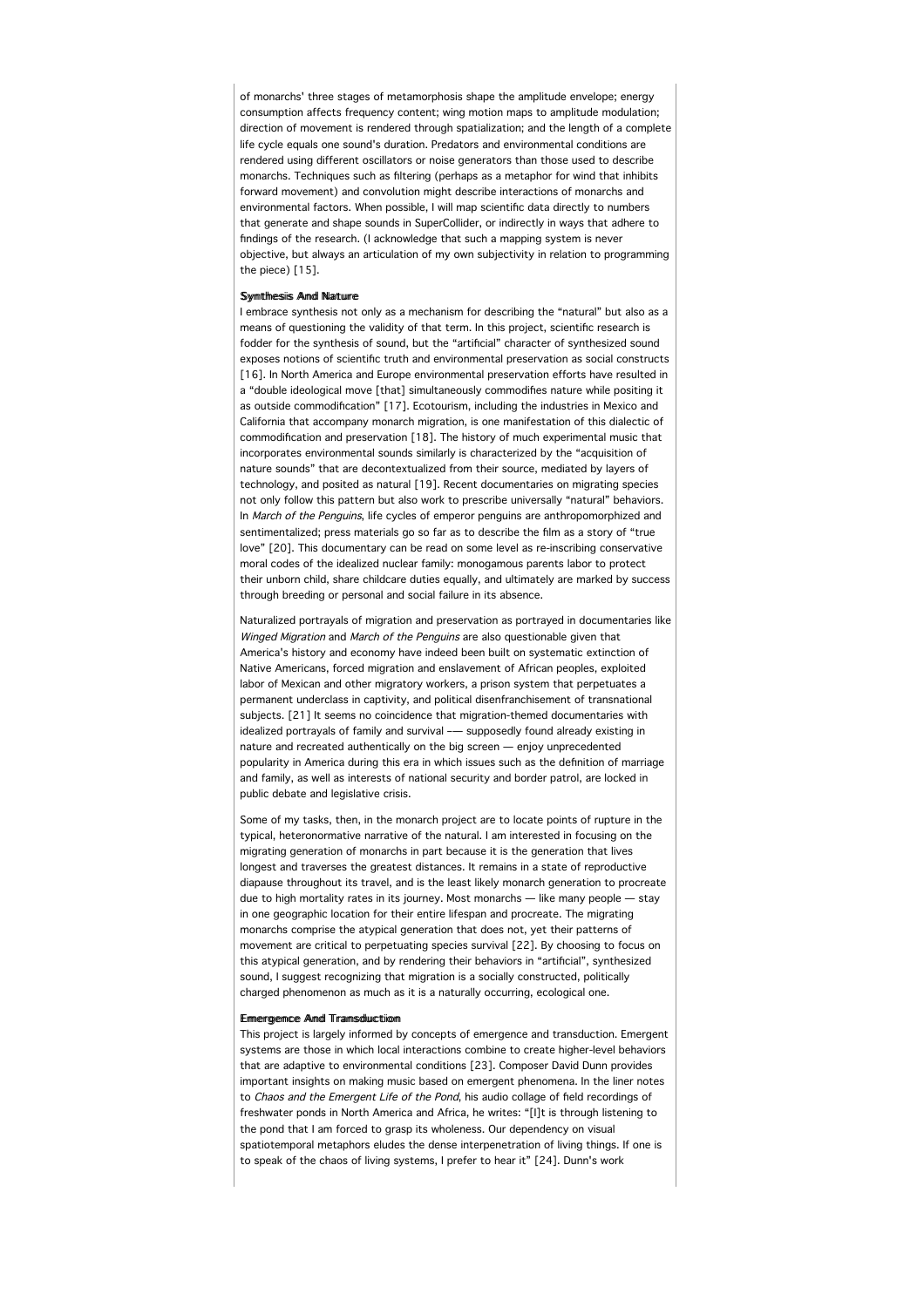of monarchs' three stages of metamorphosis shape the amplitude envelope; energy consumption affects frequency content; wing motion maps to amplitude modulation; direction of movement is rendered through spatialization; and the length of a complete life cycle equals one sound's duration. Predators and environmental conditions are rendered using different oscillators or noise generators than those used to describe monarchs. Techniques such as filtering (perhaps as a metaphor for wind that inhibits forward movement) and convolution might describe interactions of monarchs and environmental factors. When possible, I will map scientific data directly to numbers that generate and shape sounds in SuperCollider, or indirectly in ways that adhere to findings of the research. (I acknowledge that such a mapping system is never objective, but always an articulation of my own subjectivity in relation to programming the piece) [15].

# Symthesiis Amd Nature

I embrace synthesis not only as a mechanism for describing the "natural" but also as a means of questioning the validity of that term. In this project, scientific research is fodder for the synthesis of sound, but the "artificial" character of synthesized sound exposes notions of scientific truth and environmental preservation as social constructs [16]. In North America and Europe environmental preservation efforts have resulted in a "double ideological move [that] simultaneously commodifies nature while positing it as outside commodification" [17]. Ecotourism, including the industries in Mexico and California that accompany monarch migration, is one manifestation of this dialectic of commodification and preservation [18]. The history of much experimental music that incorporates environmental sounds similarly is characterized by the "acquisition of nature sounds" that are decontextualized from their source, mediated by layers of technology, and posited as natural [19]. Recent documentaries on migrating species not only follow this pattern but also work to prescribe universally "natural" behaviors. In March of the Penguins, life cycles of emperor penguins are anthropomorphized and sentimentalized; press materials go so far as to describe the film as a story of "true love" [20]. This documentary can be read on some level as re-inscribing conservative moral codes of the idealized nuclear family: monogamous parents labor to protect their unborn child, share childcare duties equally, and ultimately are marked by success through breeding or personal and social failure in its absence.

Naturalized portrayals of migration and preservation as portrayed in documentaries like Winged Migration and March of the Penguins are also questionable given that America's history and economy have indeed been built on systematic extinction of Native Americans, forced migration and enslavement of African peoples, exploited labor of Mexican and other migratory workers, a prison system that perpetuates a permanent underclass in captivity, and political disenfranchisement of transnational subjects. [21] It seems no coincidence that migration-themed documentaries with idealized portrayals of family and survival –— supposedly found already existing in nature and recreated authentically on the big screen — enjoy unprecedented popularity in America during this era in which issues such as the definition of marriage and family, as well as interests of national security and border patrol, are locked in public debate and legislative crisis.

Some of my tasks, then, in the monarch project are to locate points of rupture in the typical, heteronormative narrative of the natural. I am interested in focusing on the migrating generation of monarchs in part because it is the generation that lives longest and traverses the greatest distances. It remains in a state of reproductive diapause throughout its travel, and is the least likely monarch generation to procreate due to high mortality rates in its journey. Most monarchs — like many people — stay in one geographic location for their entire lifespan and procreate. The migrating monarchs comprise the atypical generation that does not, yet their patterns of movement are critical to perpetuating species survival [22]. By choosing to focus on this atypical generation, and by rendering their behaviors in "artificial", synthesized sound, I suggest recognizing that migration is a socially constructed, politically charged phenomenon as much as it is a naturally occurring, ecological one.

#### Ermerrgemce And Transduction

This project is largely informed by concepts of emergence and transduction. Emergent systems are those in which local interactions combine to create higher-level behaviors that are adaptive to environmental conditions [23]. Composer David Dunn provides important insights on making music based on emergent phenomena. In the liner notes to Chaos and the Emergent Life of the Pond, his audio collage of field recordings of freshwater ponds in North America and Africa, he writes: "[I]t is through listening to the pond that I am forced to grasp its wholeness. Our dependency on visual spatiotemporal metaphors eludes the dense interpenetration of living things. If one is to speak of the chaos of living systems, I prefer to hear it" [24]. Dunn's work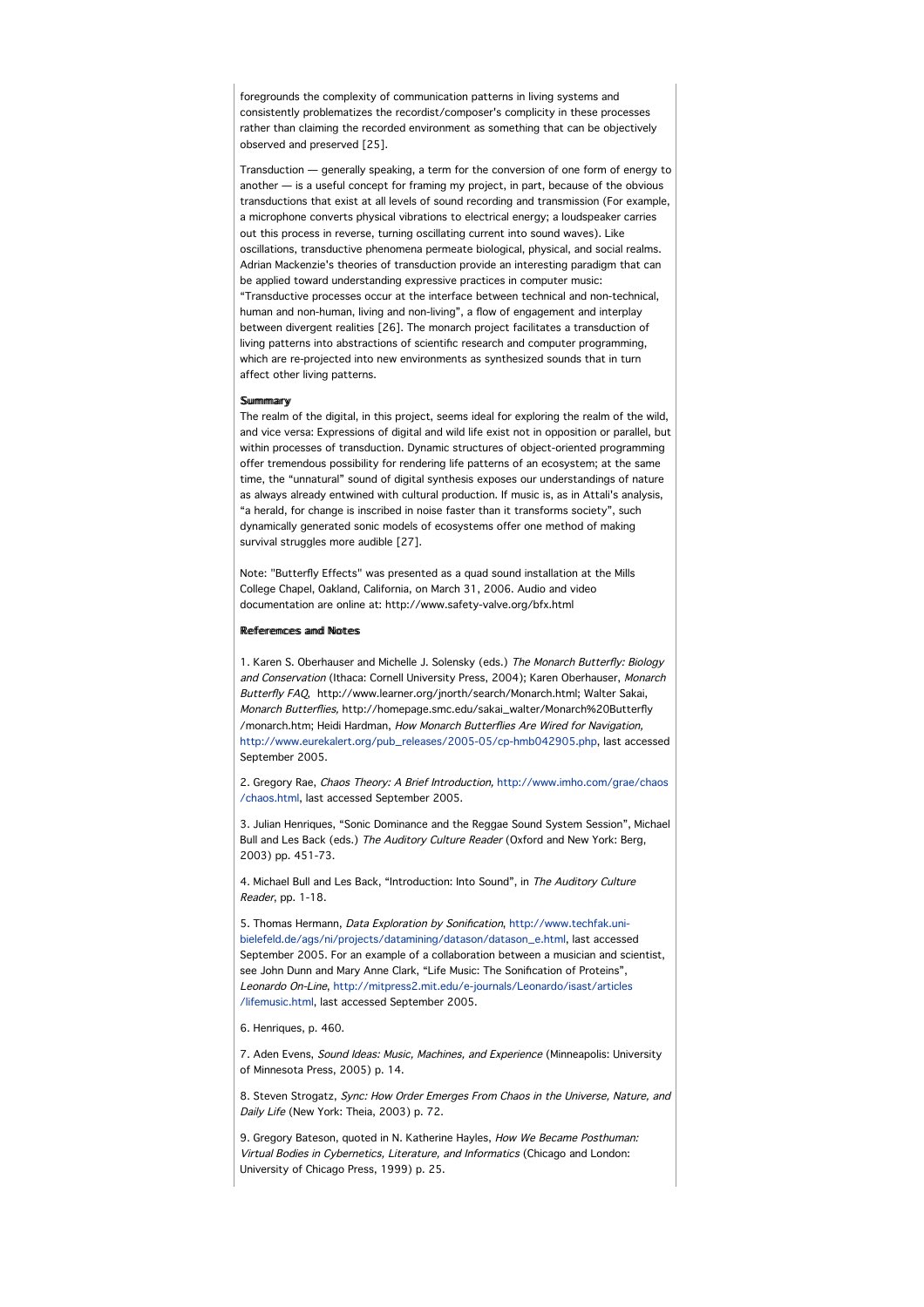foregrounds the complexity of communication patterns in living systems and consistently problematizes the recordist/composer's complicity in these processes rather than claiming the recorded environment as something that can be objectively observed and preserved [25].

Transduction — generally speaking, a term for the conversion of one form of energy to another — is a useful concept for framing my project, in part, because of the obvious transductions that exist at all levels of sound recording and transmission (For example, a microphone converts physical vibrations to electrical energy; a loudspeaker carries out this process in reverse, turning oscillating current into sound waves). Like oscillations, transductive phenomena permeate biological, physical, and social realms. Adrian Mackenzie's theories of transduction provide an interesting paradigm that can be applied toward understanding expressive practices in computer music: "Transductive processes occur at the interface between technical and non-technical, human and non-human, living and non-living", a flow of engagement and interplay between divergent realities [26]. The monarch project facilitates a transduction of living patterns into abstractions of scientific research and computer programming, which are re-projected into new environments as synthesized sounds that in turn affect other living patterns.

# **Summmary**

The realm of the digital, in this project, seems ideal for exploring the realm of the wild, and vice versa: Expressions of digital and wild life exist not in opposition or parallel, but within processes of transduction. Dynamic structures of object-oriented programming offer tremendous possibility for rendering life patterns of an ecosystem; at the same time, the "unnatural" sound of digital synthesis exposes our understandings of nature as always already entwined with cultural production. If music is, as in Attali's analysis, "a herald, for change is inscribed in noise faster than it transforms society", such dynamically generated sonic models of ecosystems offer one method of making survival struggles more audible [27].

Note: "Butterfly Effects" was presented as a quad sound installation at the Mills College Chapel, Oakland, California, on March 31, 2006. Audio and video documentation are online at: http://www.safety-valve.org/bfx.html

#### Refferences and Notes

1. Karen S. Oberhauser and Michelle J. Solensky (eds.) The Monarch Butterfly: Biology and Conservation (Ithaca: Cornell University Press, 2004); Karen Oberhauser, Monarch Butterfly FAQ, http://www.learner.org/jnorth/search/Monarch.html; Walter Sakai, Monarch Butterflies, http://homepage.smc.edu/sakai\_walter/Monarch%20Butterfly /monarch.htm; Heidi Hardman, How Monarch Butterflies Are Wired for Navigation, http://www.eurekalert.org/pub\_releases/2005-05/cp-hmb042905.php, last accessed September 2005.

2. Gregory Rae, Chaos Theory: A Brief Introduction, http://www.imho.com/grae/chaos /chaos.html, last accessed September 2005.

3. Julian Henriques, "Sonic Dominance and the Reggae Sound System Session", Michael Bull and Les Back (eds.) The Auditory Culture Reader (Oxford and New York: Berg, 2003) pp. 451-73.

4. Michael Bull and Les Back, "Introduction: Into Sound", in The Auditory Culture Reader, pp. 1-18.

5. Thomas Hermann, Data Exploration by Sonification, http://www.techfak.unibielefeld.de/ags/ni/projects/datamining/datason/datason\_e.html, last accessed September 2005. For an example of a collaboration between a musician and scientist, see John Dunn and Mary Anne Clark, "Life Music: The Sonification of Proteins", Leonardo On-Line, http://mitpress2.mit.edu/e-journals/Leonardo/isast/articles /lifemusic.html, last accessed September 2005.

6. Henriques, p. 460.

7. Aden Evens, Sound Ideas: Music, Machines, and Experience (Minneapolis: University of Minnesota Press, 2005) p. 14.

8. Steven Strogatz, Sync: How Order Emerges From Chaos in the Universe, Nature, and Daily Life (New York: Theia, 2003) p. 72.

9. Gregory Bateson, quoted in N. Katherine Hayles, How We Became Posthuman: Virtual Bodies in Cybernetics, Literature, and Informatics (Chicago and London: University of Chicago Press, 1999) p. 25.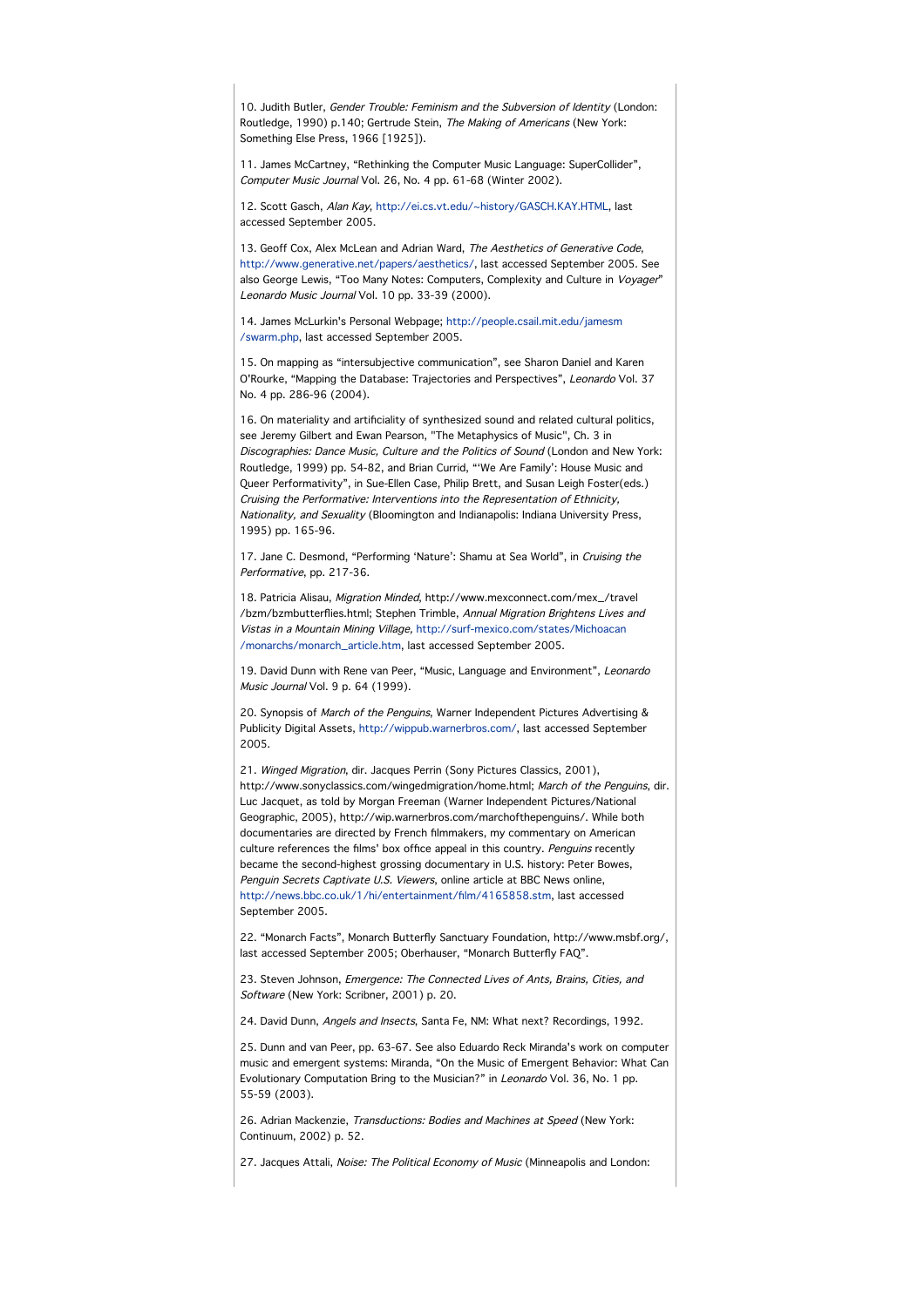10. Judith Butler, Gender Trouble: Feminism and the Subversion of Identity (London: Routledge, 1990) p.140; Gertrude Stein, The Making of Americans (New York: Something Else Press, 1966 [1925]).

11. James McCartney, "Rethinking the Computer Music Language: SuperCollider", Computer Music Journal Vol. 26, No. 4 pp. 61-68 (Winter 2002).

12. Scott Gasch, Alan Kay, http://ei.cs.vt.edu/~history/GASCH.KAY.HTML, last accessed September 2005.

13. Geoff Cox, Alex McLean and Adrian Ward, The Aesthetics of Generative Code, http://www.generative.net/papers/aesthetics/, last accessed September 2005. See also George Lewis, "Too Many Notes: Computers, Complexity and Culture in Voyager" Leonardo Music Journal Vol. 10 pp. 33-39 (2000).

14. James McLurkin's Personal Webpage; http://people.csail.mit.edu/jamesm /swarm.php, last accessed September 2005.

15. On mapping as "intersubjective communication", see Sharon Daniel and Karen O'Rourke, "Mapping the Database: Trajectories and Perspectives", Leonardo Vol. 37 No. 4 pp. 286-96 (2004).

16. On materiality and artificiality of synthesized sound and related cultural politics, see Jeremy Gilbert and Ewan Pearson, "The Metaphysics of Music", Ch. 3 in Discographies: Dance Music, Culture and the Politics of Sound (London and New York: Routledge, 1999) pp. 54-82, and Brian Currid, "'We Are Family': House Music and Queer Performativity", in Sue-Ellen Case, Philip Brett, and Susan Leigh Foster(eds.) Cruising the Performative: Interventions into the Representation of Ethnicity, Nationality, and Sexuality (Bloomington and Indianapolis: Indiana University Press, 1995) pp. 165-96.

17. Jane C. Desmond, "Performing 'Nature': Shamu at Sea World", in Cruising the Performative, pp. 217-36.

18. Patricia Alisau, Migration Minded, http://www.mexconnect.com/mex\_/travel /bzm/bzmbutterflies.html; Stephen Trimble, Annual Migration Brightens Lives and Vistas in a Mountain Mining Village, http://surf-mexico.com/states/Michoacan /monarchs/monarch\_article.htm, last accessed September 2005.

19. David Dunn with Rene van Peer, "Music, Language and Environment", Leonardo Music Journal Vol. 9 p. 64 (1999).

20. Synopsis of March of the Penguins, Warner Independent Pictures Advertising & Publicity Digital Assets, http://wippub.warnerbros.com/, last accessed September 2005.

21. Winged Migration, dir. Jacques Perrin (Sony Pictures Classics, 2001), http://www.sonyclassics.com/wingedmigration/home.html; March of the Penguins, dir. Luc Jacquet, as told by Morgan Freeman (Warner Independent Pictures/National Geographic, 2005), http://wip.warnerbros.com/marchofthepenguins/. While both documentaries are directed by French filmmakers, my commentary on American culture references the films' box office appeal in this country. Penguins recently became the second-highest grossing documentary in U.S. history: Peter Bowes, Penguin Secrets Captivate U.S. Viewers, online article at BBC News online, http://news.bbc.co.uk/1/hi/entertainment/film/4165858.stm, last accessed September 2005.

22. "Monarch Facts", Monarch Butterfly Sanctuary Foundation, http://www.msbf.org/, last accessed September 2005; Oberhauser, "Monarch Butterfly FAQ".

23. Steven Johnson, Emergence: The Connected Lives of Ants, Brains, Cities, and Software (New York: Scribner, 2001) p. 20.

24. David Dunn, Angels and Insects, Santa Fe, NM: What next? Recordings, 1992.

25. Dunn and van Peer, pp. 63-67. See also Eduardo Reck Miranda's work on computer music and emergent systems: Miranda, "On the Music of Emergent Behavior: What Can Evolutionary Computation Bring to the Musician?" in Leonardo Vol. 36, No. 1 pp. 55-59 (2003).

26. Adrian Mackenzie, Transductions: Bodies and Machines at Speed (New York: Continuum, 2002) p. 52.

27. Jacques Attali, Noise: The Political Economy of Music (Minneapolis and London: